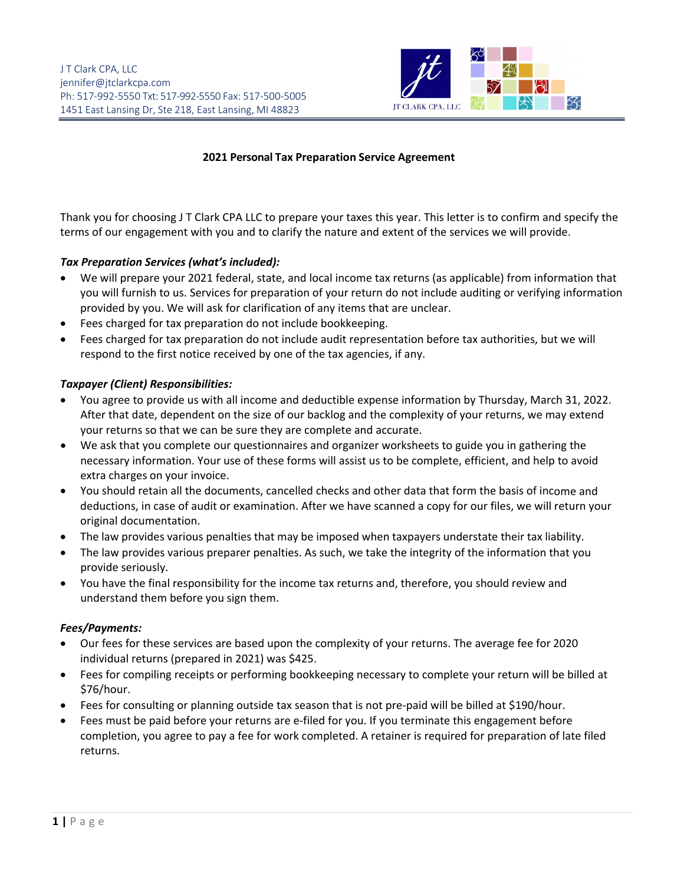

## **2021 Personal Tax Preparation Service Agreement**

Thank you for choosing J T Clark CPA LLC to prepare your taxes this year. This letter is to confirm and specify the terms of our engagement with you and to clarify the nature and extent of the services we will provide.

## *Tax Preparation Services (what's included):*

- We will prepare your 2021 federal, state, and local income tax returns (as applicable) from information that you will furnish to us. Services for preparation of your return do not include auditing or verifying information provided by you. We will ask for clarification of any items that are unclear.
- Fees charged for tax preparation do not include bookkeeping.
- Fees charged for tax preparation do not include audit representation before tax authorities, but we will respond to the first notice received by one of the tax agencies, if any.

#### *Taxpayer (Client) Responsibilities:*

- You agree to provide us with all income and deductible expense information by Thursday, March 31, 2022. After that date, dependent on the size of our backlog and the complexity of your returns, we may extend your returns so that we can be sure they are complete and accurate.
- We ask that you complete our questionnaires and organizer worksheets to guide you in gathering the necessary information. Your use of these forms will assist us to be complete, efficient, and help to avoid extra charges on your invoice.
- You should retain all the documents, cancelled checks and other data that form the basis of income and deductions, in case of audit or examination. After we have scanned a copy for our files, we will return your original documentation.
- The law provides various penalties that may be imposed when taxpayers understate their tax liability.
- The law provides various preparer penalties. As such, we take the integrity of the information that you provide seriously.
- You have the final responsibility for the income tax returns and, therefore, you should review and understand them before you sign them.

#### *Fees/Payments:*

- Our fees for these services are based upon the complexity of your returns. The average fee for 2020 individual returns (prepared in 2021) was \$425.
- Fees for compiling receipts or performing bookkeeping necessary to complete your return will be billed at \$76/hour.
- Fees for consulting or planning outside tax season that is not pre-paid will be billed at \$190/hour.
- Fees must be paid before your returns are e-filed for you. If you terminate this engagement before completion, you agree to pay a fee for work completed. A retainer is required for preparation of late filed returns.